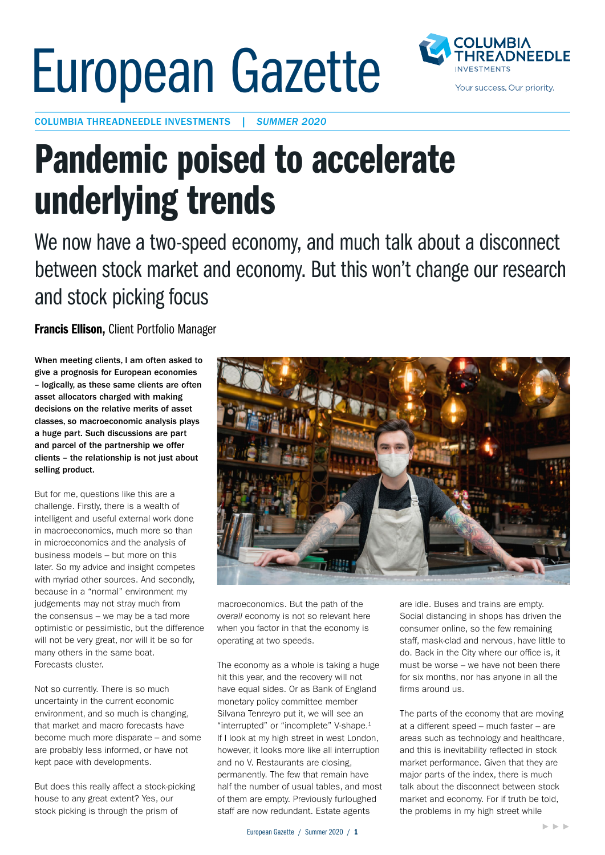## European Gazette



COLUMBIA THREADNEEDLE INVESTMENTS | *SUMMER 2020*

## Pandemic poised to accelerate underlying trends

We now have a two-speed economy, and much talk about a disconnect between stock market and economy. But this won't change our research and stock picking focus

Francis Ellison, Client Portfolio Manager

When meeting clients, I am often asked to give a prognosis for European economies – logically, as these same clients are often asset allocators charged with making decisions on the relative merits of asset classes, so macroeconomic analysis plays a huge part. Such discussions are part and parcel of the partnership we offer clients – the relationship is not just about selling product.

But for me, questions like this are a challenge. Firstly, there is a wealth of intelligent and useful external work done in macroeconomics, much more so than in microeconomics and the analysis of business models – but more on this later. So my advice and insight competes with myriad other sources. And secondly, because in a "normal" environment my judgements may not stray much from the consensus – we may be a tad more optimistic or pessimistic, but the difference will not be very great, nor will it be so for many others in the same boat. Forecasts cluster.

Not so currently. There is so much uncertainty in the current economic environment, and so much is changing, that market and macro forecasts have become much more disparate – and some are probably less informed, or have not kept pace with developments.

But does this really affect a stock-picking house to any great extent? Yes, our stock picking is through the prism of



macroeconomics. But the path of the *overall* economy is not so relevant here when you factor in that the economy is operating at two speeds.

The economy as a whole is taking a huge hit this year, and the recovery will not have equal sides. Or as Bank of England monetary policy committee member Silvana Tenreyro put it, we will see an "interrupted" or "incomplete" V-shape.<sup>1</sup> If I look at my high street in west London, however, it looks more like all interruption and no V. Restaurants are closing, permanently. The few that remain have half the number of usual tables, and most of them are empty. Previously furloughed staff are now redundant. Estate agents

are idle. Buses and trains are empty. Social distancing in shops has driven the consumer online, so the few remaining staff, mask-clad and nervous, have little to do. Back in the City where our office is, it must be worse – we have not been there for six months, nor has anyone in all the firms around us.

The parts of the economy that are moving at a different speed – much faster – are areas such as technology and healthcare, and this is inevitability reflected in stock market performance. Given that they are major parts of the index, there is much talk about the disconnect between stock market and economy. For if truth be told, the problems in my high street while